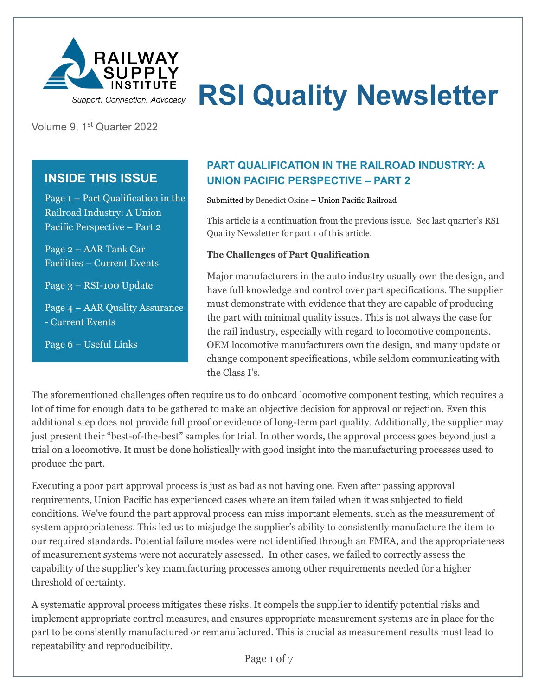

# **RSI Quality Newsletter**

Volume 9, 1st Quarter 2022

# **INSIDE THIS ISSUE**

Page 1 – Part Qualification in the Railroad Industry: A Union Pacific Perspective – Part 2

Page 2 – AAR Tank Car Facilities – Current Events

Page 3 – RSI-100 Update

Page 4 – AAR Quality Assurance - Current Events

Page 6 – Useful Links

# **PART QUALIFICATION IN THE RAILROAD INDUSTRY: A UNION PACIFIC PERSPECTIVE – PART 2**

Submitted by Benedict Okine – Union Pacific Railroad

This article is a continuation from the previous issue. See last quarter's RSI Quality Newsletter for part 1 of this article.

#### **The Challenges of Part Qualification**

Major manufacturers in the auto industry usually own the design, and have full knowledge and control over part specifications. The supplier must demonstrate with evidence that they are capable of producing the part with minimal quality issues. This is not always the case for the rail industry, especially with regard to locomotive components. OEM locomotive manufacturers own the design, and many update or change component specifications, while seldom communicating with the Class I's.

The aforementioned challenges often require us to do onboard locomotive component testing, which requires a lot of time for enough data to be gathered to make an objective decision for approval or rejection. Even this additional step does not provide full proof or evidence of long-term part quality. Additionally, the supplier may just present their "best-of-the-best" samples for trial. In other words, the approval process goes beyond just a trial on a locomotive. It must be done holistically with good insight into the manufacturing processes used to produce the part.

Executing a poor part approval process is just as bad as not having one. Even after passing approval requirements, Union Pacific has experienced cases where an item failed when it was subjected to field conditions. We've found the part approval process can miss important elements, such as the measurement of system appropriateness. This led us to misjudge the supplier's ability to consistently manufacture the item to our required standards. Potential failure modes were not identified through an FMEA, and the appropriateness of measurement systems were not accurately assessed. In other cases, we failed to correctly assess the capability of the supplier's key manufacturing processes among other requirements needed for a higher threshold of certainty.

A systematic approval process mitigates these risks. It compels the supplier to identify potential risks and implement appropriate control measures, and ensures appropriate measurement systems are in place for the part to be consistently manufactured or remanufactured. This is crucial as measurement results must lead to repeatability and reproducibility.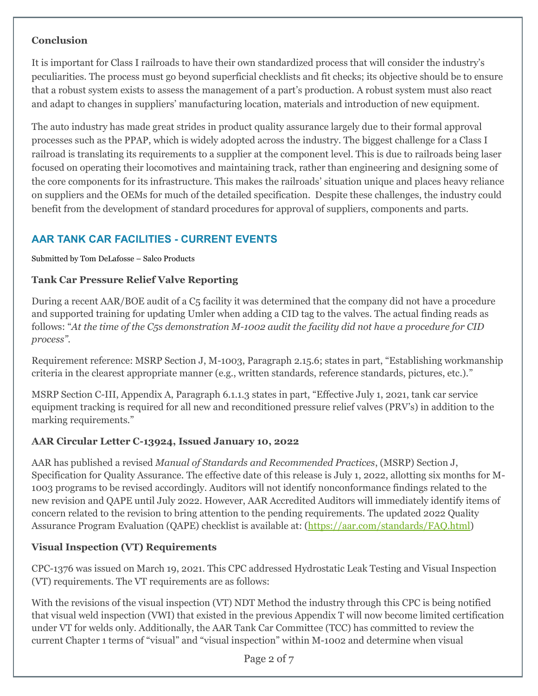### **Conclusion**

It is important for Class I railroads to have their own standardized process that will consider the industry's peculiarities. The process must go beyond superficial checklists and fit checks; its objective should be to ensure that a robust system exists to assess the management of a part's production. A robust system must also react and adapt to changes in suppliers' manufacturing location, materials and introduction of new equipment.

The auto industry has made great strides in product quality assurance largely due to their formal approval processes such as the PPAP, which is widely adopted across the industry. The biggest challenge for a Class I railroad is translating its requirements to a supplier at the component level. This is due to railroads being laser focused on operating their locomotives and maintaining track, rather than engineering and designing some of the core components for its infrastructure. This makes the railroads' situation unique and places heavy reliance on suppliers and the OEMs for much of the detailed specification. Despite these challenges, the industry could benefit from the development of standard procedures for approval of suppliers, components and parts.

# **AAR TANK CAR FACILITIES - CURRENT EVENTS**

Submitted by Tom DeLafosse – Salco Products

### **Tank Car Pressure Relief Valve Reporting**

During a recent AAR/BOE audit of a C5 facility it was determined that the company did not have a procedure and supported training for updating Umler when adding a CID tag to the valves. The actual finding reads as follows: "*At the time of the C5s demonstration M-1002 audit the facility did not have a procedure for CID process"*.

Requirement reference: MSRP Section J, M-1003, Paragraph 2.15.6; states in part, "Establishing workmanship criteria in the clearest appropriate manner (e.g., written standards, reference standards, pictures, etc.)."

MSRP Section C-III, Appendix A, Paragraph 6.1.1.3 states in part, "Effective July 1, 2021, tank car service equipment tracking is required for all new and reconditioned pressure relief valves (PRV's) in addition to the marking requirements."

### **AAR Circular Letter C-13924, Issued January 10, 2022**

AAR has published a revised *Manual of Standards and Recommended Practices*, (MSRP) Section J, Specification for Quality Assurance. The effective date of this release is July 1, 2022, allotting six months for M-1003 programs to be revised accordingly. Auditors will not identify nonconformance findings related to the new revision and QAPE until July 2022. However, AAR Accredited Auditors will immediately identify items of concern related to the revision to bring attention to the pending requirements. The updated 2022 Quality Assurance Program Evaluation (QAPE) checklist is available at: [\(https://aar.com/standards/FAQ.html\)](https://aar.com/standards/FAQ.html)

# **Visual Inspection (VT) Requirements**

CPC-1376 was issued on March 19, 2021. This CPC addressed Hydrostatic Leak Testing and Visual Inspection (VT) requirements. The VT requirements are as follows:

With the revisions of the visual inspection (VT) NDT Method the industry through this CPC is being notified that visual weld inspection (VWI) that existed in the previous Appendix T will now become limited certification under VT for welds only. Additionally, the AAR Tank Car Committee (TCC) has committed to review the current Chapter 1 terms of "visual" and "visual inspection" within M-1002 and determine when visual

Page 2 of 7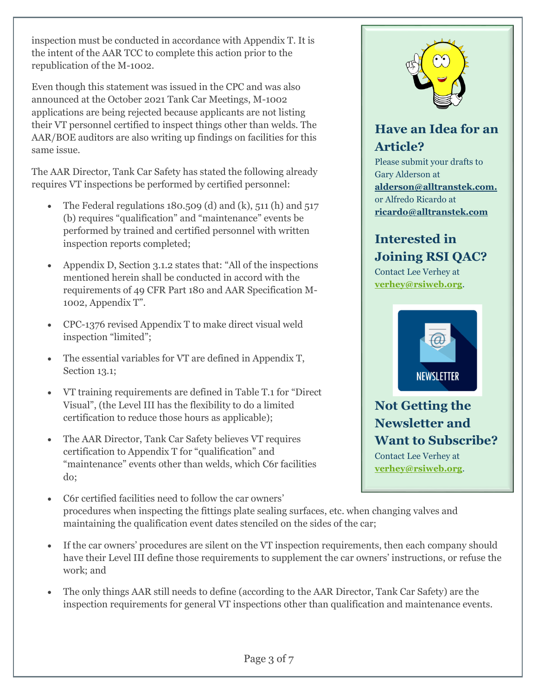inspection must be conducted in accordance with Appendix T. It is the intent of the AAR TCC to complete this action prior to the republication of the M-1002.

Even though this statement was issued in the CPC and was also announced at the October 2021 Tank Car Meetings, M-1002 applications are being rejected because applicants are not listing their VT personnel certified to inspect things other than welds. The AAR/BOE auditors are also writing up findings on facilities for this same issue.

The AAR Director, Tank Car Safety has stated the following already requires VT inspections be performed by certified personnel:

- The Federal regulations  $180.509$  (d) and (k),  $511$  (h) and  $517$ (b) requires "qualification" and "maintenance" events be performed by trained and certified personnel with written inspection reports completed;
- Appendix D, Section 3.1.2 states that: "All of the inspections" mentioned herein shall be conducted in accord with the requirements of 49 CFR Part 180 and AAR Specification M-1002, Appendix T".
- CPC-1376 revised Appendix T to make direct visual weld inspection "limited";
- The essential variables for VT are defined in Appendix T, Section 13.1;
- VT training requirements are defined in Table T.1 for "Direct Visual", (the Level III has the flexibility to do a limited certification to reduce those hours as applicable);
- The AAR Director, Tank Car Safety believes VT requires certification to Appendix T for "qualification" and "maintenance" events other than welds, which C6r facilities do;
- C6r certified facilities need to follow the car owners' procedures when inspecting the fittings plate sealing surfaces, etc. when changing valves and maintaining the qualification event dates stenciled on the sides of the car;
- If the car owners' procedures are silent on the VT inspection requirements, then each company should have their Level III define those requirements to supplement the car owners' instructions, or refuse the work; and
- The only things AAR still needs to define (according to the AAR Director, Tank Car Safety) are the inspection requirements for general VT inspections other than qualification and maintenance events.



# **Have an Idea for an Article?**

Please submit your drafts to Gary Alderson at **[alderson@alltranstek.com.](mailto:%20alderson@alltranstek.com)** or Alfredo Ricardo at **ricardo@alltranstek.com**

# **Interested in Joining RSI QAC?**

Contact Lee Verhey at **[verhey@rsiweb.org](mailto:verhey@rsiweb.org)**[.](mailto:verhey@rsiweb.org)



**Not Getting the Newsletter and Want to Subscribe?** Contact Lee Verhey at **[verhey@rsiweb.org](mailto:verhey@rsiweb.org)**[.](mailto:verhey@rsiweb.org)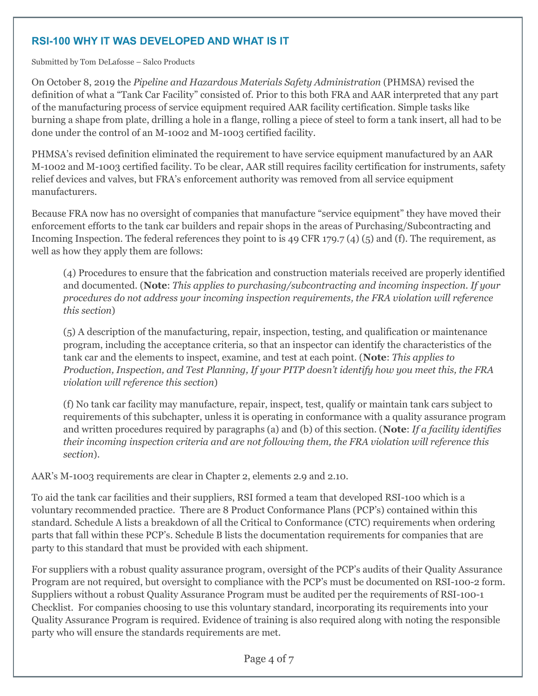## **RSI-100 WHY IT WAS DEVELOPED AND WHAT IS IT**

Submitted by Tom DeLafosse – Salco Products

On October 8, 2019 the *Pipeline and Hazardous Materials Safety Administration* (PHMSA) revised the definition of what a "Tank Car Facility" consisted of. Prior to this both FRA and AAR interpreted that any part of the manufacturing process of service equipment required AAR facility certification. Simple tasks like burning a shape from plate, drilling a hole in a flange, rolling a piece of steel to form a tank insert, all had to be done under the control of an M-1002 and M-1003 certified facility.

PHMSA's revised definition eliminated the requirement to have service equipment manufactured by an AAR M-1002 and M-1003 certified facility. To be clear, AAR still requires facility certification for instruments, safety relief devices and valves, but FRA's enforcement authority was removed from all service equipment manufacturers.

Because FRA now has no oversight of companies that manufacture "service equipment" they have moved their enforcement efforts to the tank car builders and repair shops in the areas of Purchasing/Subcontracting and Incoming Inspection. The federal references they point to is 49 CFR 179.7 (4) (5) and (f). The requirement, as well as how they apply them are follows:

(4) Procedures to ensure that the fabrication and construction materials received are properly identified and documented. (**Note**: *This applies to purchasing/subcontracting and incoming inspection. If your procedures do not address your incoming inspection requirements, the FRA violation will reference this section*)

(5) A description of the manufacturing, repair, inspection, testing, and qualification or maintenance program, including the acceptance criteria, so that an inspector can identify the characteristics of the tank car and the elements to inspect, examine, and test at each point. (**Note**: *This applies to Production, Inspection, and Test Planning, If your PITP doesn't identify how you meet this, the FRA violation will reference this section*)

(f) No tank car facility may manufacture, repair, inspect, test, qualify or maintain tank cars subject to requirements of this subchapter, unless it is operating in conformance with a quality assurance program and written procedures required by paragraphs (a) and (b) of this section. (**Note**: *If a facility identifies their incoming inspection criteria and are not following them, the FRA violation will reference this section*).

AAR's M-1003 requirements are clear in Chapter 2, elements 2.9 and 2.10.

To aid the tank car facilities and their suppliers, RSI formed a team that developed RSI-100 which is a voluntary recommended practice. There are 8 Product Conformance Plans (PCP's) contained within this standard. Schedule A lists a breakdown of all the Critical to Conformance (CTC) requirements when ordering parts that fall within these PCP's. Schedule B lists the documentation requirements for companies that are party to this standard that must be provided with each shipment.

For suppliers with a robust quality assurance program, oversight of the PCP's audits of their Quality Assurance Program are not required, but oversight to compliance with the PCP's must be documented on RSI-100-2 form. Suppliers without a robust Quality Assurance Program must be audited per the requirements of RSI-100-1 Checklist. For companies choosing to use this voluntary standard, incorporating its requirements into your Quality Assurance Program is required. Evidence of training is also required along with noting the responsible party who will ensure the standards requirements are met.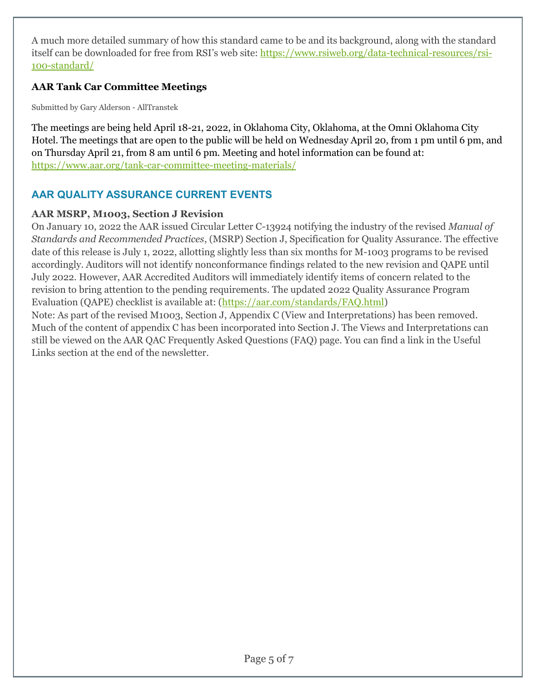A much more detailed summary of how this standard came to be and its background, along with the standard itself can be downloaded for free from RSI's web site: [https://www.rsiweb.org/data-technical-resources/rsi-](https://www.rsiweb.org/data-technical-resources/rsi-100-standard/)[100-standard/](https://www.rsiweb.org/data-technical-resources/rsi-100-standard/)

## **AAR Tank Car Committee Meetings**

Submitted by Gary Alderson - AllTranstek

The meetings are being held April 18-21, 2022, in Oklahoma City, Oklahoma, at the Omni Oklahoma City Hotel. The meetings that are open to the public will be held on Wednesday April 20, from 1 pm until 6 pm, and on Thursday April 21, from 8 am until 6 pm. Meeting and hotel information can be found at: <https://www.aar.org/tank-car-committee-meeting-materials/>

# **AAR QUALITY ASSURANCE CURRENT EVENTS**

### **AAR MSRP, M1003, Section J Revision**

On January 10, 2022 the AAR issued Circular Letter C-13924 notifying the industry of the revised *Manual of Standards and Recommended Practices*, (MSRP) Section J, Specification for Quality Assurance. The effective date of this release is July 1, 2022, allotting slightly less than six months for M-1003 programs to be revised accordingly. Auditors will not identify nonconformance findings related to the new revision and QAPE until July 2022. However, AAR Accredited Auditors will immediately identify items of concern related to the revision to bring attention to the pending requirements. The updated 2022 Quality Assurance Program Evaluation (QAPE) checklist is available at: [\(https://aar.com/standards/FAQ.html\)](https://aar.com/standards/FAQ.html)

Note: As part of the revised M1003, Section J, Appendix C (View and Interpretations) has been removed. Much of the content of appendix C has been incorporated into Section J. The Views and Interpretations can still be viewed on the AAR QAC Frequently Asked Questions (FAQ) page. You can find a link in the Useful Links section at the end of the newsletter.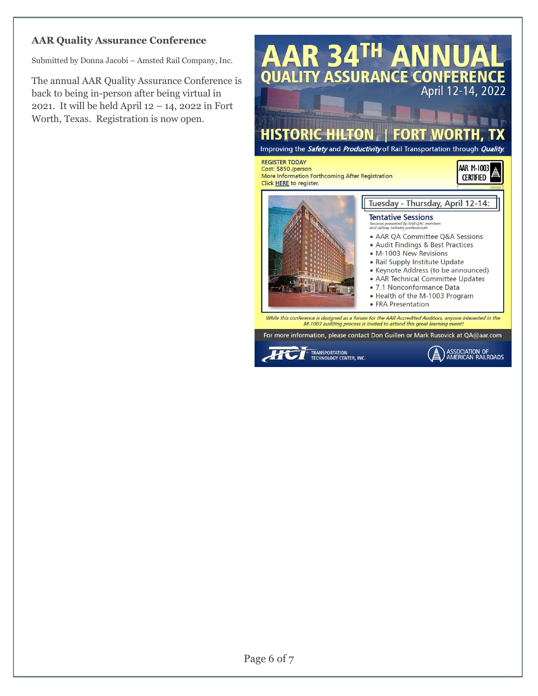### **AAR Quality Assurance Conference**

Submitted by Donna Jacobi – Amsted Rail Company, Inc.

The annual AAR Quality Assurance Conference is back to being in-person after being virtual in 2021. It will be held April 12 – 14, 2022 in Fort Worth, Texas. Registration is now open.